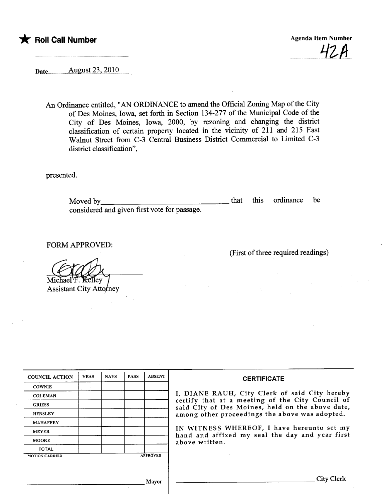

42A

Date ....Allgnst..i~,.2'OJ'O......

An Ordinance entitled, "AN ORDINANCE to amend the Official Zoning Map of the City of Des Moines, Iowa, set forth in Section 134-277 of the Municipal Code of the City of Des Moines, Iowa, 2000, by rezoning and changing the district classification of certain property located in the vicinity of 211 and 215 East Walnut Street from C-3 Central Business District Commercial to Limited C-3 district classification",

presented.

Moved by considered and given first vote for passage. that this ordinance be

FORM APPROVED:

Michael ₹elley

**Assistant City Attomey** 

| <b>COUNCIL ACTION</b> | <b>YEAS</b> | <b>NAYS</b> | <b>PASS</b> | <b>ABSENT</b>   | <b>CERTIFICATE</b>                                                                                              |  |  |  |
|-----------------------|-------------|-------------|-------------|-----------------|-----------------------------------------------------------------------------------------------------------------|--|--|--|
| <b>COWNIE</b>         |             |             |             |                 |                                                                                                                 |  |  |  |
| <b>COLEMAN</b>        |             |             |             |                 | I, DIANE RAUH, City Clerk of said City hereby<br>certify that at a meeting of the City Council of               |  |  |  |
| <b>GRIESS</b>         |             |             |             |                 | said City of Des Moines, held on the above date,<br>among other proceedings the above was adopted.              |  |  |  |
| <b>HENSLEY</b>        |             |             |             |                 |                                                                                                                 |  |  |  |
| <b>MAHAFFEY</b>       |             |             |             |                 | IN WITNESS WHEREOF, I have hereunto set my<br>hand and affixed my seal the day and year first<br>above written. |  |  |  |
| <b>MEYER</b>          |             |             |             |                 |                                                                                                                 |  |  |  |
| <b>MOORE</b>          |             |             |             |                 |                                                                                                                 |  |  |  |
| <b>TOTAL</b>          |             |             |             |                 |                                                                                                                 |  |  |  |
| <b>MOTION CARRIED</b> |             |             |             | <b>APPROVED</b> |                                                                                                                 |  |  |  |
|                       |             |             |             |                 |                                                                                                                 |  |  |  |
|                       |             |             |             | Mayor           | City Clerk                                                                                                      |  |  |  |

(First of thee required readings)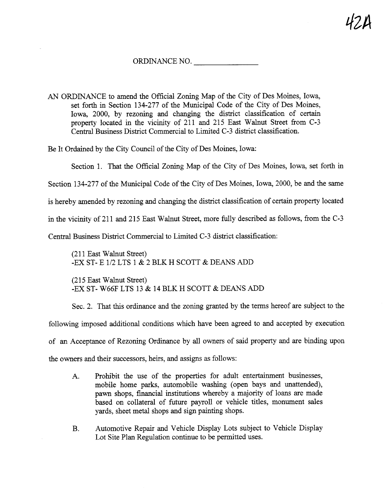## ORDINANCE NO.

AN ORDINANCE to amend the Official Zonig Map of the City of Des Moines, Iowa, set forth in Section 134-277 of the Municipal Code of the City of Des Moines, Iowa, 2000, by rezoning and changing the district classification of certain property located in the vicinity of 211 and 215 East Walnut Street from C-3 Central Business District Commercial to Limited C-3 district classification.

Be It Ordained by the City Council of the City of Des Moines, Iowa:

Section 1. That the Official Zoning Map of the City of Des Moines, Iowa, set forth in Section 134-277 of the Municipal Code of the City of Des Moines, Iowa, 2000, be and the same is hereby amended by rezoning and changing the district classification of certain property located in the vicinity of 211 and 215 East Walnut Street, more fully described as follows, from the C-3 Central Business District Commercial to Limited C-3 district classification:

(211 East Walnut Street) -EX ST- E 1/2 LTS 1 & 2 BLK H SCOTT & DEANS ADD

(215 East Walut Street) -EX ST- W66F LTS 13 & 14 BLK H SCOTT & DEANS ADD

Sec. 2. That this ordinance and the zoning granted by the terms hereof are subject to the following imposed additional conditions which have been agreed to and accepted by execution of an Acceptance of Rezoning Ordinance by all owners of said property and are binding upon the owners and their successors, heirs, and assigns as follows:

- A. Prohibit the use of the properties for adult entertainment businesses, mobile home parks, automobile washig (open bays and unattended), pawn shops, financial institutions whereby a majority of loans are made based on collateral of futue payroll or vehicle titles, monument sales yards, sheet metal shops and sign painting shops.
- B. Automotive Repair and Vehicle Display Lots subject to Vehicle Display Lot Site Plan Regulation continue to be permitted uses.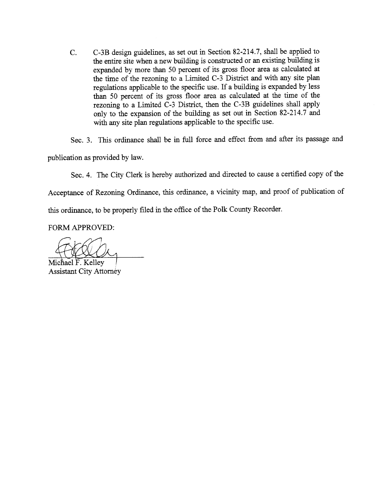C. C-3B design gudelines, as set out in Section 82-214.7, shall be applied to the entire site when a new building is constructed or an existing building is expanded by more than 50 percent of its gross floor area as calculated at the time of the rezoning to a Limited C-3 District and with any site plan regulations applicable to the specific use. If a building is expanded by less than 50 percent of its gross floor area as calculated at the time of the rezoning to a Limited  $\tilde{C}$ -3 District, then the C-3B guidelines shall apply only to the expansion of the buildig as set out in Section 82-214.7 and with any site plan regulations applicable to the specific use.

Sec. 3. This ordinance shall be in full force and effect from and after its passage and publication as provided by law.

Sec. 4. The City Clerk is hereby authorized and directed to cause a certified copy of the

Acceptance of Rezoning Ordinance, this ordinance, a vicinity map, and proof of publication of

this ordinance, to be properly filed in the office of the Polk County Recorder.

FORM APPROVED:

Michael F. Kelley **Assistant City Attorney**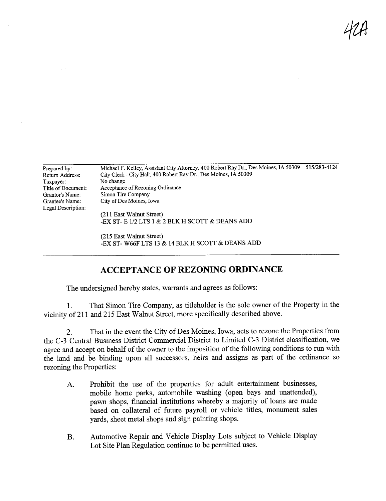qtA

| Prepared by:       | Michael F. Kelley, Assistant City Attorney, 400 Robert Ray Dr., Des Moines, IA 50309 | 515/283-4124 |
|--------------------|--------------------------------------------------------------------------------------|--------------|
| Return Address:    | City Clerk - City Hall, 400 Robert Ray Dr., Des Moines, IA 50309                     |              |
| Taxpayer:          | No change                                                                            |              |
| Title of Document: | Acceptance of Rezoning Ordinance                                                     |              |
| Grantor's Name:    | Simon Tire Company                                                                   |              |
| Grantee's Name:    | City of Des Moines, Iowa                                                             |              |
| Legal Description: |                                                                                      |              |
|                    | (211 East Walnut Street)                                                             |              |
|                    | -EX ST- E 1/2 LTS 1 & 2 BLK H SCOTT & DEANS ADD                                      |              |
|                    |                                                                                      |              |

(215 East Walnut Street) -EX ST- W66F LTS 13 & 14 BLK H SCOTT & DEANS ADD

## ACCEPTANCE OF REZONING ORDINANCE

The undersigned hereby states, warrants and agrees as follows:

1. That Simon Tire Company, as titleholder is the sole owner of the Property in the vicinity of211 and 215 East Walnut Street, more specifically described above.

2. That in the event the City of Des Moines, Iowa, acts to rezone the Properties from the C-3 Central Business District Commercial District to Limited C-3 District classification, we agree and accept on behalf of the owner to the imposition of the following conditions to run with the land and be binding upon all successors, heirs and assigns as part of the ordinance so rezoning the Properties:

- A. Prohibit the use of the properties for adult entertainment businesses, mobile home parks, automobile washig (open bays and unattended), pawn shops, financial institutions whereby a majority of loans are made based on collateral of futue payroll or vehicle titles, monument sales yards, sheet metal shops and sign painting shops.
- B. Automotive Repair and Vehicle Display Lots subject to Vehicle Display Lot Site Plan Regulation continue to be permitted uses.